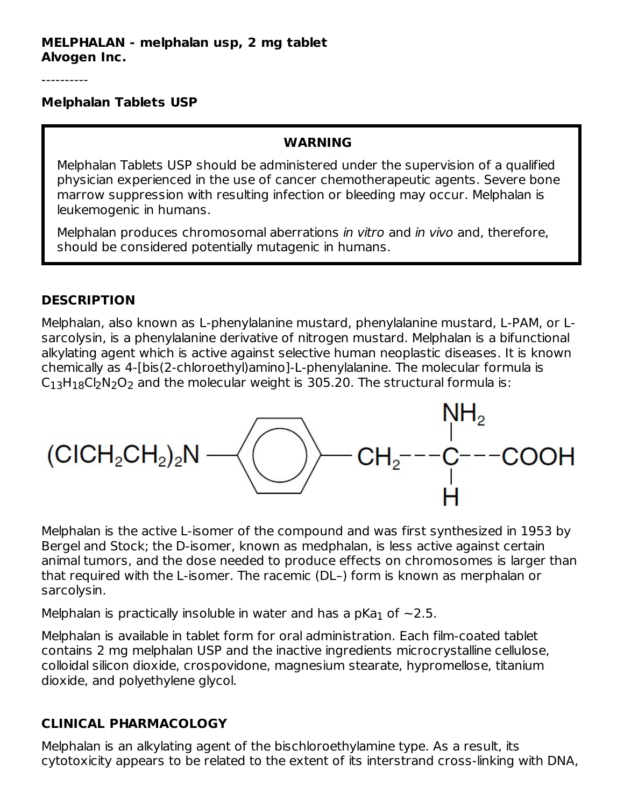#### **MELPHALAN - melphalan usp, 2 mg tablet Alvogen Inc.**

----------

#### **Melphalan Tablets USP**

#### **WARNING**

Melphalan Tablets USP should be administered under the supervision of a qualified physician experienced in the use of cancer chemotherapeutic agents. Severe bone marrow suppression with resulting infection or bleeding may occur. Melphalan is leukemogenic in humans.

Melphalan produces chromosomal aberrations in vitro and in vivo and, therefore, should be considered potentially mutagenic in humans.

#### **DESCRIPTION**

Melphalan, also known as L-phenylalanine mustard, phenylalanine mustard, L-PAM, or Lsarcolysin, is a phenylalanine derivative of nitrogen mustard. Melphalan is a bifunctional alkylating agent which is active against selective human neoplastic diseases. It is known chemically as 4-[bis(2-chloroethyl)amino]-L-phenylalanine. The molecular formula is  $\mathsf{C}_{13}\mathsf{H}_{18}\mathsf{Cl}_2\mathsf{N}_2\mathsf{O}_2$  and the molecular weight is 305.20. The structural formula is:



Melphalan is the active L-isomer of the compound and was first synthesized in 1953 by Bergel and Stock; the D-isomer, known as medphalan, is less active against certain animal tumors, and the dose needed to produce effects on chromosomes is larger than that required with the L-isomer. The racemic (DL–) form is known as merphalan or sarcolysin.

Melphalan is practically insoluble in water and has a pKa $_1$  of  $\sim$ 2.5.

Melphalan is available in tablet form for oral administration. Each film-coated tablet contains 2 mg melphalan USP and the inactive ingredients microcrystalline cellulose, colloidal silicon dioxide, crospovidone, magnesium stearate, hypromellose, titanium dioxide, and polyethylene glycol.

#### **CLINICAL PHARMACOLOGY**

Melphalan is an alkylating agent of the bischloroethylamine type. As a result, its cytotoxicity appears to be related to the extent of its interstrand cross-linking with DNA,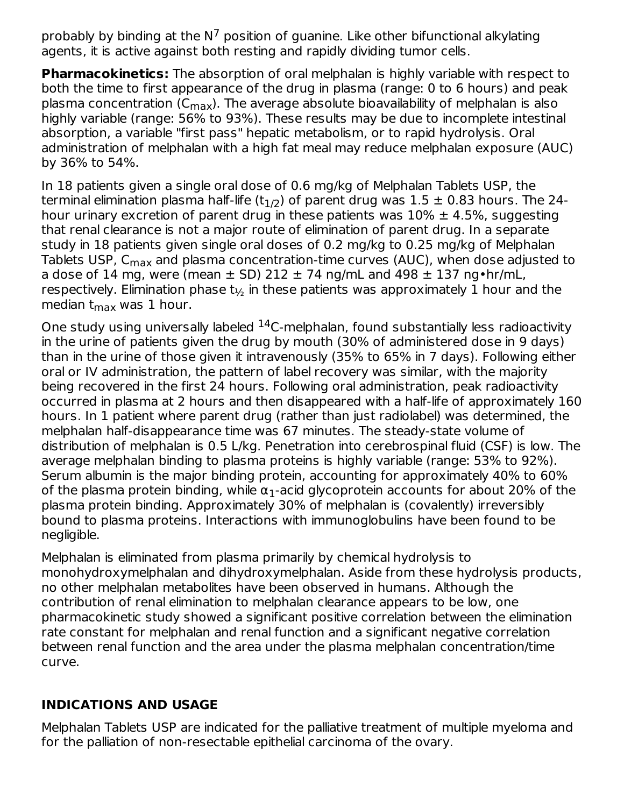probably by binding at the N<sup>7</sup> position of guanine. Like other bifunctional alkylating agents, it is active against both resting and rapidly dividing tumor cells.

**Pharmacokinetics:** The absorption of oral melphalan is highly variable with respect to both the time to first appearance of the drug in plasma (range: 0 to 6 hours) and peak plasma concentration (C<sub>max</sub>). The average absolute bioavailability of melphalan is also highly variable (range: 56% to 93%). These results may be due to incomplete intestinal absorption, a variable "first pass" hepatic metabolism, or to rapid hydrolysis. Oral administration of melphalan with a high fat meal may reduce melphalan exposure (AUC) by 36% to 54%.

In 18 patients given a single oral dose of 0.6 mg/kg of Melphalan Tablets USP, the terminal elimination plasma half-life (t $_{\rm 1/2}$ ) of parent drug was  $1.5\pm 0.83$  hours. The 24hour urinary excretion of parent drug in these patients was  $10\% \pm 4.5\%$ , suggesting that renal clearance is not a major route of elimination of parent drug. In a separate study in 18 patients given single oral doses of 0.2 mg/kg to 0.25 mg/kg of Melphalan Tablets USP, C<sub>max</sub> and plasma concentration-time curves (AUC), when dose adjusted to a dose of 14 mg, were (mean  $\pm$  SD) 212  $\pm$  74 ng/mL and 498  $\pm$  137 ng•hr/mL, respectively. Elimination phase  $\mathsf{t}_{\mathcal{V}_2}$  in these patients was approximately 1 hour and the median t<sub>max</sub> was 1 hour.

One study using universally labeled  $^{14}$ C-melphalan, found substantially less radioactivity in the urine of patients given the drug by mouth (30% of administered dose in 9 days) than in the urine of those given it intravenously (35% to 65% in 7 days). Following either oral or IV administration, the pattern of label recovery was similar, with the majority being recovered in the first 24 hours. Following oral administration, peak radioactivity occurred in plasma at 2 hours and then disappeared with a half-life of approximately 160 hours. In 1 patient where parent drug (rather than just radiolabel) was determined, the melphalan half-disappearance time was 67 minutes. The steady-state volume of distribution of melphalan is 0.5 L/kg. Penetration into cerebrospinal fluid (CSF) is low. The average melphalan binding to plasma proteins is highly variable (range: 53% to 92%). Serum albumin is the major binding protein, accounting for approximately 40% to 60% of the plasma protein binding, while  $\alpha_1$ -acid glycoprotein accounts for about 20% of the plasma protein binding. Approximately 30% of melphalan is (covalently) irreversibly bound to plasma proteins. Interactions with immunoglobulins have been found to be negligible.

Melphalan is eliminated from plasma primarily by chemical hydrolysis to monohydroxymelphalan and dihydroxymelphalan. Aside from these hydrolysis products, no other melphalan metabolites have been observed in humans. Although the contribution of renal elimination to melphalan clearance appears to be low, one pharmacokinetic study showed a significant positive correlation between the elimination rate constant for melphalan and renal function and a significant negative correlation between renal function and the area under the plasma melphalan concentration/time curve.

# **INDICATIONS AND USAGE**

Melphalan Tablets USP are indicated for the palliative treatment of multiple myeloma and for the palliation of non-resectable epithelial carcinoma of the ovary.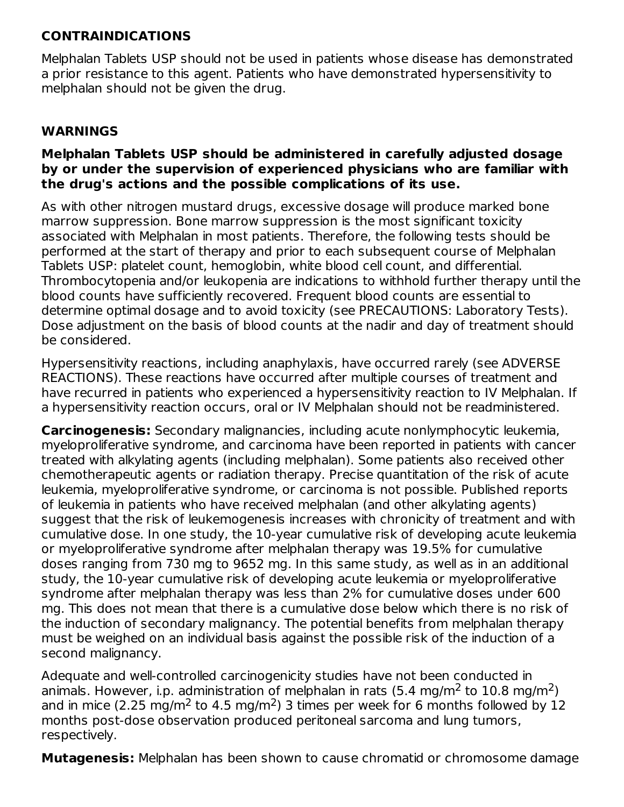#### **CONTRAINDICATIONS**

Melphalan Tablets USP should not be used in patients whose disease has demonstrated a prior resistance to this agent. Patients who have demonstrated hypersensitivity to melphalan should not be given the drug.

#### **WARNINGS**

#### **Melphalan Tablets USP should be administered in carefully adjusted dosage by or under the supervision of experienced physicians who are familiar with the drug's actions and the possible complications of its use.**

As with other nitrogen mustard drugs, excessive dosage will produce marked bone marrow suppression. Bone marrow suppression is the most significant toxicity associated with Melphalan in most patients. Therefore, the following tests should be performed at the start of therapy and prior to each subsequent course of Melphalan Tablets USP: platelet count, hemoglobin, white blood cell count, and differential. Thrombocytopenia and/or leukopenia are indications to withhold further therapy until the blood counts have sufficiently recovered. Frequent blood counts are essential to determine optimal dosage and to avoid toxicity (see PRECAUTIONS: Laboratory Tests). Dose adjustment on the basis of blood counts at the nadir and day of treatment should be considered.

Hypersensitivity reactions, including anaphylaxis, have occurred rarely (see ADVERSE REACTIONS). These reactions have occurred after multiple courses of treatment and have recurred in patients who experienced a hypersensitivity reaction to IV Melphalan. If a hypersensitivity reaction occurs, oral or IV Melphalan should not be readministered.

**Carcinogenesis:** Secondary malignancies, including acute nonlymphocytic leukemia, myeloproliferative syndrome, and carcinoma have been reported in patients with cancer treated with alkylating agents (including melphalan). Some patients also received other chemotherapeutic agents or radiation therapy. Precise quantitation of the risk of acute leukemia, myeloproliferative syndrome, or carcinoma is not possible. Published reports of leukemia in patients who have received melphalan (and other alkylating agents) suggest that the risk of leukemogenesis increases with chronicity of treatment and with cumulative dose. In one study, the 10-year cumulative risk of developing acute leukemia or myeloproliferative syndrome after melphalan therapy was 19.5% for cumulative doses ranging from 730 mg to 9652 mg. In this same study, as well as in an additional study, the 10-year cumulative risk of developing acute leukemia or myeloproliferative syndrome after melphalan therapy was less than 2% for cumulative doses under 600 mg. This does not mean that there is a cumulative dose below which there is no risk of the induction of secondary malignancy. The potential benefits from melphalan therapy must be weighed on an individual basis against the possible risk of the induction of a second malignancy.

Adequate and well-controlled carcinogenicity studies have not been conducted in animals. However, i.p. administration of melphalan in rats (5.4 mg/m<sup>2</sup> to 10.8 mg/m<sup>2</sup>) and in mice (2.25 mg/m<sup>2</sup> to 4.5 mg/m<sup>2</sup>) 3 times per week for 6 months followed by 12 months post-dose observation produced peritoneal sarcoma and lung tumors, respectively.

**Mutagenesis:** Melphalan has been shown to cause chromatid or chromosome damage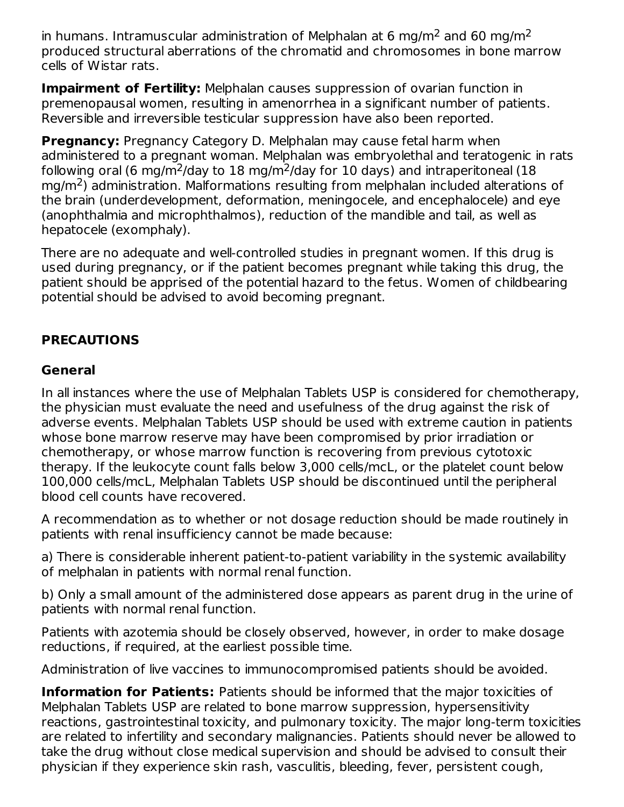in humans. Intramuscular administration of Melphalan at 6 mg/m<sup>2</sup> and 60 mg/m<sup>2</sup> produced structural aberrations of the chromatid and chromosomes in bone marrow cells of Wistar rats.

**Impairment of Fertility:** Melphalan causes suppression of ovarian function in premenopausal women, resulting in amenorrhea in a significant number of patients. Reversible and irreversible testicular suppression have also been reported.

**Pregnancy:** Pregnancy Category D. Melphalan may cause fetal harm when administered to a pregnant woman. Melphalan was embryolethal and teratogenic in rats following oral (6 mg/m<sup>2</sup>/day to 18 mg/m<sup>2</sup>/day for 10 days) and intraperitoneal (18 mg/m<sup>2</sup>) administration. Malformations resulting from melphalan included alterations of the brain (underdevelopment, deformation, meningocele, and encephalocele) and eye (anophthalmia and microphthalmos), reduction of the mandible and tail, as well as hepatocele (exomphaly).

There are no adequate and well-controlled studies in pregnant women. If this drug is used during pregnancy, or if the patient becomes pregnant while taking this drug, the patient should be apprised of the potential hazard to the fetus. Women of childbearing potential should be advised to avoid becoming pregnant.

# **PRECAUTIONS**

# **General**

In all instances where the use of Melphalan Tablets USP is considered for chemotherapy, the physician must evaluate the need and usefulness of the drug against the risk of adverse events. Melphalan Tablets USP should be used with extreme caution in patients whose bone marrow reserve may have been compromised by prior irradiation or chemotherapy, or whose marrow function is recovering from previous cytotoxic therapy. If the leukocyte count falls below 3,000 cells/mcL, or the platelet count below 100,000 cells/mcL, Melphalan Tablets USP should be discontinued until the peripheral blood cell counts have recovered.

A recommendation as to whether or not dosage reduction should be made routinely in patients with renal insufficiency cannot be made because:

a) There is considerable inherent patient-to-patient variability in the systemic availability of melphalan in patients with normal renal function.

b) Only a small amount of the administered dose appears as parent drug in the urine of patients with normal renal function.

Patients with azotemia should be closely observed, however, in order to make dosage reductions, if required, at the earliest possible time.

Administration of live vaccines to immunocompromised patients should be avoided.

**Information for Patients:** Patients should be informed that the major toxicities of Melphalan Tablets USP are related to bone marrow suppression, hypersensitivity reactions, gastrointestinal toxicity, and pulmonary toxicity. The major long-term toxicities are related to infertility and secondary malignancies. Patients should never be allowed to take the drug without close medical supervision and should be advised to consult their physician if they experience skin rash, vasculitis, bleeding, fever, persistent cough,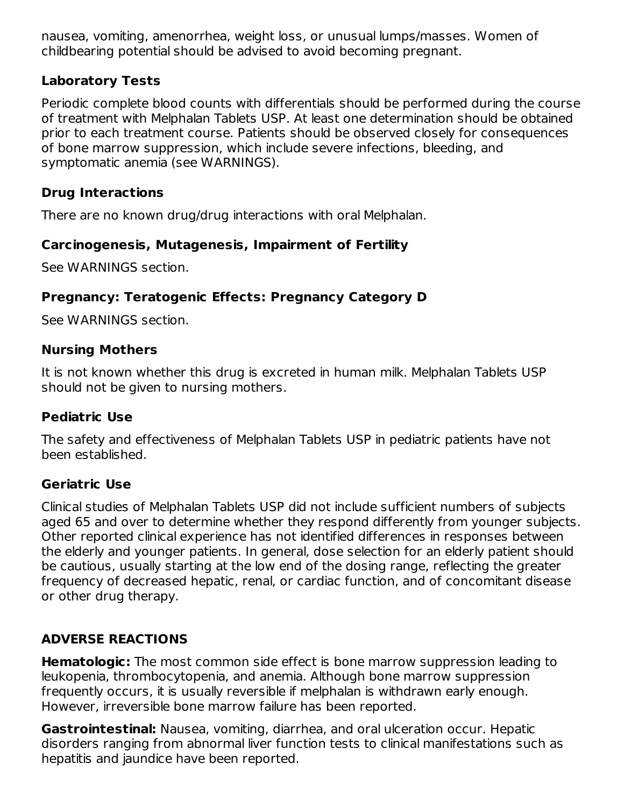nausea, vomiting, amenorrhea, weight loss, or unusual lumps/masses. Women of childbearing potential should be advised to avoid becoming pregnant.

### **Laboratory Tests**

Periodic complete blood counts with differentials should be performed during the course of treatment with Melphalan Tablets USP. At least one determination should be obtained prior to each treatment course. Patients should be observed closely for consequences of bone marrow suppression, which include severe infections, bleeding, and symptomatic anemia (see WARNINGS).

### **Drug Interactions**

There are no known drug/drug interactions with oral Melphalan.

### **Carcinogenesis, Mutagenesis, Impairment of Fertility**

See WARNINGS section.

# **Pregnancy: Teratogenic Effects: Pregnancy Category D**

See WARNINGS section.

### **Nursing Mothers**

It is not known whether this drug is excreted in human milk. Melphalan Tablets USP should not be given to nursing mothers.

#### **Pediatric Use**

The safety and effectiveness of Melphalan Tablets USP in pediatric patients have not been established.

# **Geriatric Use**

Clinical studies of Melphalan Tablets USP did not include sufficient numbers of subjects aged 65 and over to determine whether they respond differently from younger subjects. Other reported clinical experience has not identified differences in responses between the elderly and younger patients. In general, dose selection for an elderly patient should be cautious, usually starting at the low end of the dosing range, reflecting the greater frequency of decreased hepatic, renal, or cardiac function, and of concomitant disease or other drug therapy.

# **ADVERSE REACTIONS**

**Hematologic:** The most common side effect is bone marrow suppression leading to leukopenia, thrombocytopenia, and anemia. Although bone marrow suppression frequently occurs, it is usually reversible if melphalan is withdrawn early enough. However, irreversible bone marrow failure has been reported.

**Gastrointestinal:** Nausea, vomiting, diarrhea, and oral ulceration occur. Hepatic disorders ranging from abnormal liver function tests to clinical manifestations such as hepatitis and jaundice have been reported.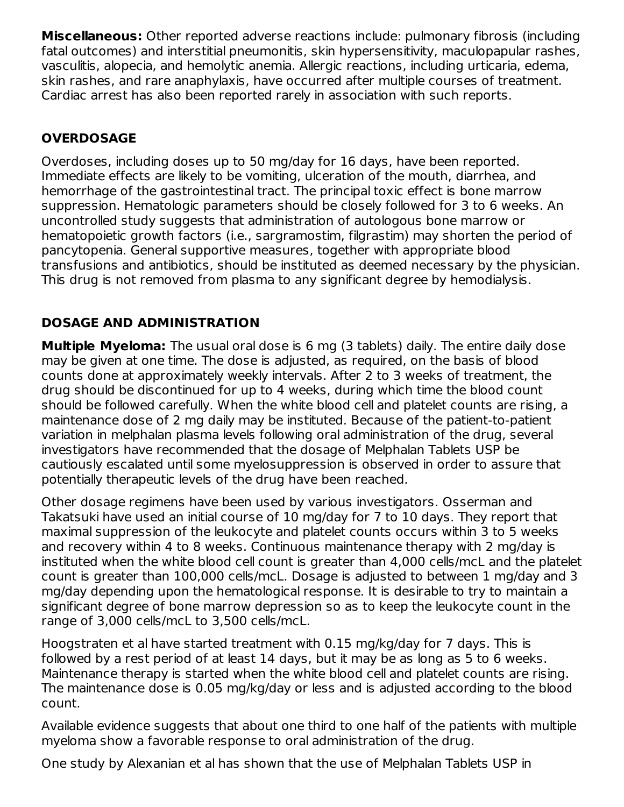**Miscellaneous:** Other reported adverse reactions include: pulmonary fibrosis (including fatal outcomes) and interstitial pneumonitis, skin hypersensitivity, maculopapular rashes, vasculitis, alopecia, and hemolytic anemia. Allergic reactions, including urticaria, edema, skin rashes, and rare anaphylaxis, have occurred after multiple courses of treatment. Cardiac arrest has also been reported rarely in association with such reports.

# **OVERDOSAGE**

Overdoses, including doses up to 50 mg/day for 16 days, have been reported. Immediate effects are likely to be vomiting, ulceration of the mouth, diarrhea, and hemorrhage of the gastrointestinal tract. The principal toxic effect is bone marrow suppression. Hematologic parameters should be closely followed for 3 to 6 weeks. An uncontrolled study suggests that administration of autologous bone marrow or hematopoietic growth factors (i.e., sargramostim, filgrastim) may shorten the period of pancytopenia. General supportive measures, together with appropriate blood transfusions and antibiotics, should be instituted as deemed necessary by the physician. This drug is not removed from plasma to any significant degree by hemodialysis.

# **DOSAGE AND ADMINISTRATION**

**Multiple Myeloma:** The usual oral dose is 6 mg (3 tablets) daily. The entire daily dose may be given at one time. The dose is adjusted, as required, on the basis of blood counts done at approximately weekly intervals. After 2 to 3 weeks of treatment, the drug should be discontinued for up to 4 weeks, during which time the blood count should be followed carefully. When the white blood cell and platelet counts are rising, a maintenance dose of 2 mg daily may be instituted. Because of the patient-to-patient variation in melphalan plasma levels following oral administration of the drug, several investigators have recommended that the dosage of Melphalan Tablets USP be cautiously escalated until some myelosuppression is observed in order to assure that potentially therapeutic levels of the drug have been reached.

Other dosage regimens have been used by various investigators. Osserman and Takatsuki have used an initial course of 10 mg/day for 7 to 10 days. They report that maximal suppression of the leukocyte and platelet counts occurs within 3 to 5 weeks and recovery within 4 to 8 weeks. Continuous maintenance therapy with 2 mg/day is instituted when the white blood cell count is greater than 4,000 cells/mcL and the platelet count is greater than 100,000 cells/mcL. Dosage is adjusted to between 1 mg/day and 3 mg/day depending upon the hematological response. It is desirable to try to maintain a significant degree of bone marrow depression so as to keep the leukocyte count in the range of 3,000 cells/mcL to 3,500 cells/mcL.

Hoogstraten et al have started treatment with 0.15 mg/kg/day for 7 days. This is followed by a rest period of at least 14 days, but it may be as long as 5 to 6 weeks. Maintenance therapy is started when the white blood cell and platelet counts are rising. The maintenance dose is 0.05 mg/kg/day or less and is adjusted according to the blood count.

Available evidence suggests that about one third to one half of the patients with multiple myeloma show a favorable response to oral administration of the drug.

One study by Alexanian et al has shown that the use of Melphalan Tablets USP in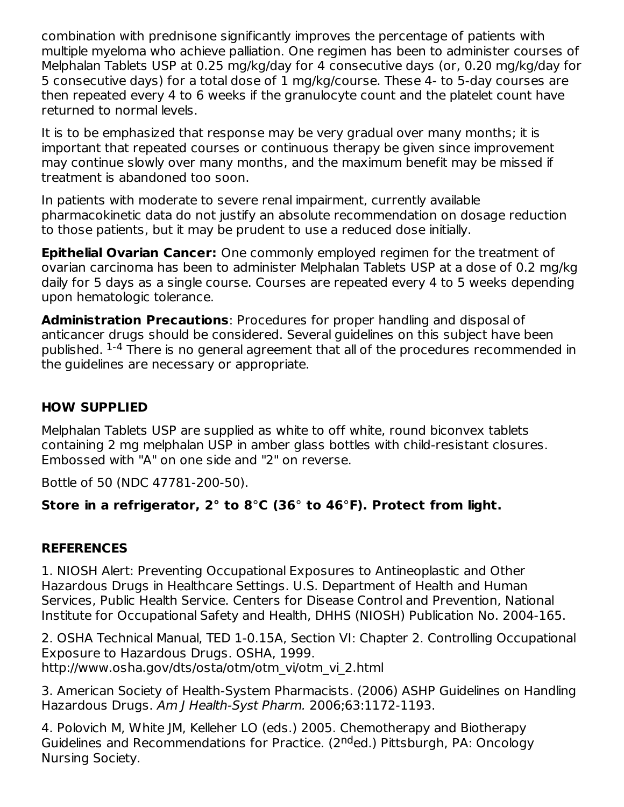combination with prednisone significantly improves the percentage of patients with multiple myeloma who achieve palliation. One regimen has been to administer courses of Melphalan Tablets USP at 0.25 mg/kg/day for 4 consecutive days (or, 0.20 mg/kg/day for 5 consecutive days) for a total dose of 1 mg/kg/course. These 4- to 5-day courses are then repeated every 4 to 6 weeks if the granulocyte count and the platelet count have returned to normal levels.

It is to be emphasized that response may be very gradual over many months; it is important that repeated courses or continuous therapy be given since improvement may continue slowly over many months, and the maximum benefit may be missed if treatment is abandoned too soon.

In patients with moderate to severe renal impairment, currently available pharmacokinetic data do not justify an absolute recommendation on dosage reduction to those patients, but it may be prudent to use a reduced dose initially.

**Epithelial Ovarian Cancer:** One commonly employed regimen for the treatment of ovarian carcinoma has been to administer Melphalan Tablets USP at a dose of 0.2 mg/kg daily for 5 days as a single course. Courses are repeated every 4 to 5 weeks depending upon hematologic tolerance.

**Administration Precautions**: Procedures for proper handling and disposal of anticancer drugs should be considered. Several guidelines on this subject have been published.  $^{1-4}$  There is no general agreement that all of the procedures recommended in the guidelines are necessary or appropriate.

# **HOW SUPPLIED**

Melphalan Tablets USP are supplied as white to off white, round biconvex tablets containing 2 mg melphalan USP in amber glass bottles with child-resistant closures. Embossed with "A" on one side and "2" on reverse.

Bottle of 50 (NDC 47781-200-50).

# **Store in a refrigerator, 2° to 8**°**C (36**° **to 46**°**F). Protect from light.**

# **REFERENCES**

1. NIOSH Alert: Preventing Occupational Exposures to Antineoplastic and Other Hazardous Drugs in Healthcare Settings. U.S. Department of Health and Human Services, Public Health Service. Centers for Disease Control and Prevention, National Institute for Occupational Safety and Health, DHHS (NIOSH) Publication No. 2004-165.

2. OSHA Technical Manual, TED 1-0.15A, Section VI: Chapter 2. Controlling Occupational Exposure to Hazardous Drugs. OSHA, 1999. http://www.osha.gov/dts/osta/otm/otm\_vi/otm\_vi\_2.html

3. American Society of Health-System Pharmacists. (2006) ASHP Guidelines on Handling Hazardous Drugs. Am J Health-Syst Pharm. 2006;63:1172-1193.

4. Polovich M, White JM, Kelleher LO (eds.) 2005. Chemotherapy and Biotherapy Guidelines and Recommendations for Practice. (2<sup>nd</sup>ed.) Pittsburgh, PA: Oncology Nursing Society.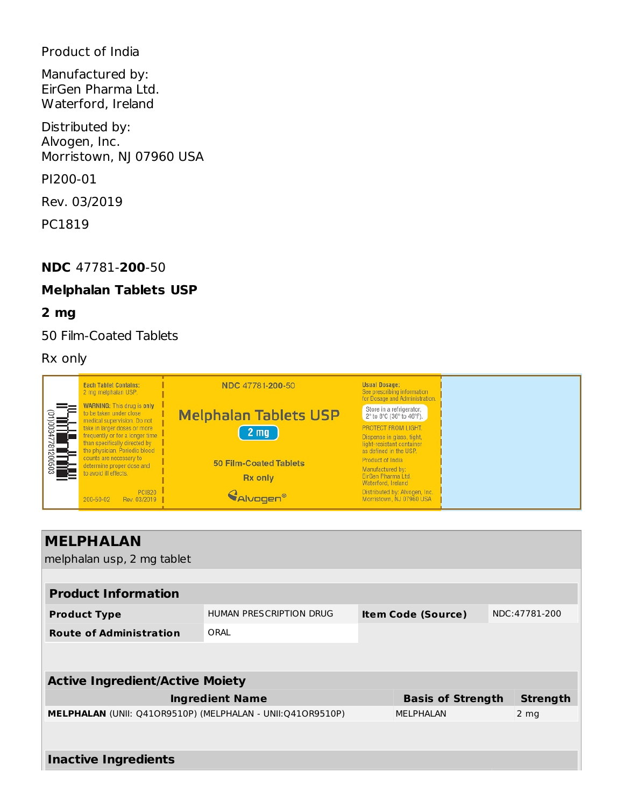#### Product of India

Manufactured by: EirGen Pharma Ltd. Waterford, Ireland

Distributed by: Alvogen, Inc. Morristown, NJ 07960 USA

PI200-01

Rev. 03/2019

PC1819

**NDC** 47781-**200**-50

# **Melphalan Tablets USP**

### **2 mg**

50 Film-Coated Tablets

Rx only



| <b>MELPHALAN</b>                                           |                         |                           |                  |  |  |  |  |  |
|------------------------------------------------------------|-------------------------|---------------------------|------------------|--|--|--|--|--|
| melphalan usp, 2 mg tablet                                 |                         |                           |                  |  |  |  |  |  |
|                                                            |                         |                           |                  |  |  |  |  |  |
| <b>Product Information</b>                                 |                         |                           |                  |  |  |  |  |  |
| <b>Product Type</b>                                        | HUMAN PRESCRIPTION DRUG | <b>Item Code (Source)</b> | NDC:47781-200    |  |  |  |  |  |
| <b>Route of Administration</b>                             | ORAL                    |                           |                  |  |  |  |  |  |
|                                                            |                         |                           |                  |  |  |  |  |  |
|                                                            |                         |                           |                  |  |  |  |  |  |
| <b>Active Ingredient/Active Moiety</b>                     |                         |                           |                  |  |  |  |  |  |
|                                                            | <b>Ingredient Name</b>  | <b>Basis of Strength</b>  | <b>Strength</b>  |  |  |  |  |  |
| MELPHALAN (UNII: Q410R9510P) (MELPHALAN - UNII:Q410R9510P) |                         | MELPHALAN                 | $2 \, \text{mg}$ |  |  |  |  |  |
|                                                            |                         |                           |                  |  |  |  |  |  |
|                                                            |                         |                           |                  |  |  |  |  |  |
| <b>Inactive Ingredients</b>                                |                         |                           |                  |  |  |  |  |  |